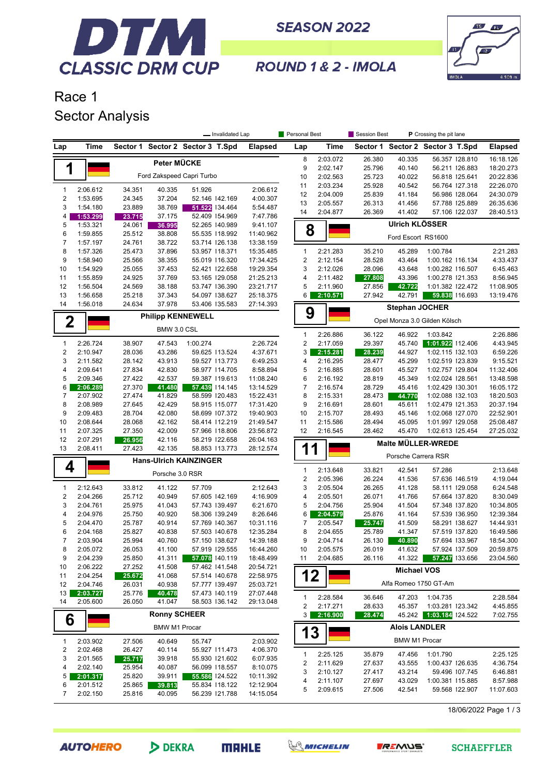

**SEASON 2022** 



ROUND 1 & 2 - IMOLA

## Race 1 **Sector Analysis**

|                              |                      |                  |                               |                         | - Invalidated Lap                |                        | Personal Best                |                      | Session Best     |                       | P Crossing the pit lane              |                        |
|------------------------------|----------------------|------------------|-------------------------------|-------------------------|----------------------------------|------------------------|------------------------------|----------------------|------------------|-----------------------|--------------------------------------|------------------------|
| Lap                          | Time                 | Sector 1         |                               | Sector 2 Sector 3 T.Spd |                                  | <b>Elapsed</b>         | Lap                          | Time                 |                  |                       | Sector 1 Sector 2 Sector 3 T.Spd     | <b>Elapsed</b>         |
|                              |                      |                  | Peter MÜCKE                   |                         |                                  |                        | 8                            | 2:03.072             | 26.380           | 40.335                | 56.357 128.810                       | 16:18.126              |
| 1                            |                      |                  |                               |                         |                                  |                        | 9                            | 2:02.147             | 25.796           | 40.140                | 56.211 126.883                       | 18:20.273              |
|                              |                      |                  | Ford Zakspeed Capri Turbo     |                         |                                  |                        | 10                           | 2:02.563             | 25.723           | 40.022                | 56.818 125.641                       | 20:22.836              |
| $\mathbf{1}$                 | 2:06.612             | 34.351           | 40.335                        | 51.926                  |                                  | 2:06.612               | 11                           | 2:03.234             | 25.928           | 40.542                | 56.764 127.318                       | 22:26.070              |
| $\sqrt{2}$                   | 1:53.695             | 24.345           | 37.204                        |                         | 52.146 142.169                   | 4:00.307               | 12                           | 2:04.009             | 25.839           | 41.184                | 56.986 128.064                       | 24:30.079              |
| 3                            | 1:54.180             | 23.889           | 38.769                        |                         | 51.522 134.464                   | 5:54.487               | 13                           | 2:05.557             | 26.313           | 41.456                | 57.788 125.889                       | 26:35.636              |
| 4                            | 1:53.299             | 23.715           | 37.175                        |                         | 52.409 154.969                   | 7:47.786               | 14                           | 2:04.877             | 26.369           | 41.402                | 57.106 122.037                       | 28:40.513              |
| 5                            | 1:53.321             | 24.061           | 36.995                        |                         | 52.265 140.989                   | 9:41.107               | 8                            |                      |                  | <b>Ulrich KLÖSSER</b> |                                      |                        |
| 6                            | 1:59.855             | 25.512           | 38.808                        |                         | 55.535 118.992                   | 11:40.962              |                              |                      |                  | Ford Escort RS1600    |                                      |                        |
| 7                            | 1:57.197             | 24.761           | 38.722                        |                         | 53.714 126.138                   | 13:38.159              |                              |                      |                  |                       |                                      |                        |
| 8                            | 1:57.326             | 25.473           | 37.896                        |                         | 53.957 118.371                   | 15:35.485              | $\mathbf{1}$                 | 2:21.283             | 35.210           | 45.289                | 1:00.784                             | 2:21.283               |
| 9<br>10                      | 1:58.940<br>1:54.929 | 25.566<br>25.055 | 38.355<br>37.453              |                         | 55.019 116.320<br>52.421 122.658 | 17:34.425<br>19:29.354 | $\overline{\mathbf{c}}$<br>3 | 2:12.154<br>2:12.026 | 28.528<br>28.096 | 43.464<br>43.648      | 1:00.162 116.134<br>1:00.282 116.507 | 4:33.437<br>6:45.463   |
| 11                           | 1:55.859             | 24.925           | 37.769                        |                         | 53.165 129.058                   | 21:25.213              | 4                            | 2:11.482             | 27.808           | 43.396                | 1:00.278 121.353                     | 8:56.945               |
| 12                           | 1:56.504             | 24.569           | 38.188                        |                         | 53.747 136.390                   | 23:21.717              | 5                            | 2:11.960             | 27.856           | 42.722                | 1:01.382 122.472                     | 11:08.905              |
| 13                           | 1:56.658             | 25.218           | 37.343                        |                         | 54.097 138.627                   | 25:18.375              | 6                            | 2:10.571             | 27.942           | 42.791                | 59.838 116.693                       | 13:19.476              |
| 14                           | 1:56.018             | 24.634           | 37.978                        |                         | 53.406 135.583                   | 27:14.393              |                              |                      |                  |                       |                                      |                        |
|                              |                      |                  | <b>Philipp KENNEWELL</b>      |                         |                                  |                        | 9                            |                      |                  | <b>Stephan JOCHER</b> |                                      |                        |
| $\mathbf 2$                  |                      |                  |                               |                         |                                  |                        |                              |                      |                  |                       | Opel Monza 3.0 Gilden Kölsch         |                        |
|                              |                      |                  | BMW 3.0 CSL                   |                         |                                  |                        | $\mathbf{1}$                 | 2:26.886             | 36.122           | 46.922                | 1:03.842                             | 2:26.886               |
| $\mathbf{1}$                 | 2:26.724             | 38.907           | 47.543                        | 1:00.274                |                                  | 2:26.724               | $\overline{c}$               | 2:17.059             | 29.397           | 45.740                | 1:01.922 112.406                     | 4:43.945               |
| $\boldsymbol{2}$             | 2:10.947             | 28.036           | 43.286                        |                         | 59.625 113.524                   | 4:37.671               | 3                            | 2:15.281             | 28.239           | 44.927                | 1:02.115 132.103                     | 6:59.226               |
| 3                            | 2:11.582             | 28.142           | 43.913                        |                         | 59.527 113.773                   | 6:49.253               | 4                            | 2:16.295             | 28.477           | 45.299                | 1:02.519 123.839                     | 9:15.521               |
| 4                            | 2:09.641             | 27.834           | 42.830                        |                         | 58.977 114.705                   | 8:58.894               | 5                            | 2:16.885             | 28.601           | 45.527                | 1:02.757 129.804                     | 11:32.406              |
| 5                            | 2:09.346             | 27.422           | 42.537                        |                         | 59.387 119.613                   | 11:08.240              | 6                            | 2:16.192             | 28.819           | 45.349                | 1:02.024 128.561                     | 13:48.598              |
| 6                            | 2:06.289             | 27.370           | 41.480                        |                         | 57.439 114.145                   | 13:14.529              | 7                            | 2:16.574             | 28.729           | 45.416                | 1:02.429 130.301                     | 16:05.172              |
| 7                            | 2:07.902             | 27.474           | 41.829                        |                         | 58.599 120.483                   | 15:22.431              | 8                            | 2:15.331             | 28.473           | 44.770                | 1:02.088 132.103                     | 18:20.503              |
| 8<br>9                       | 2:08.989             | 27.645           | 42.429                        |                         | 58.915 115.077                   | 17:31.420              | 9                            | 2:16.691             | 28.601           | 45.611                | 1:02.479 121.353                     | 20:37.194              |
| 10                           | 2:09.483<br>2:08.644 | 28.704<br>28.068 | 42.080<br>42.162              |                         | 58.699 107.372<br>58.414 112.219 | 19:40.903<br>21:49.547 | 10<br>11                     | 2:15.707<br>2:15.586 | 28.493<br>28.494 | 45.146<br>45.095      | 1:02.068 127.070<br>1:01.997 129.058 | 22:52.901<br>25:08.487 |
| 11                           | 2:07.325             | 27.350           | 42.009                        |                         | 57.966 118.806                   | 23:56.872              | 12                           | 2:16.545             | 28.462           | 45.470                | 1:02.613 125.454                     | 27:25.032              |
| 12                           | 2:07.291             | 26.956           | 42.116                        |                         | 58.219 122.658                   | 26:04.163              |                              |                      |                  |                       |                                      |                        |
| 13                           | 2:08.411             | 27.423           | 42.135                        |                         | 58.853 113.773                   | 28:12.574              | 1                            | 1                    |                  |                       | Malte MÜLLER-WREDE                   |                        |
|                              |                      |                  | <b>Hans-Ulrich KAINZINGER</b> |                         |                                  |                        |                              |                      |                  | Porsche Carrera RSR   |                                      |                        |
| 4                            |                      |                  | Porsche 3.0 RSR               |                         |                                  |                        | $\mathbf{1}$                 | 2:13.648             | 33.821           | 42.541                | 57.286                               | 2:13.648               |
|                              |                      |                  |                               |                         |                                  |                        | $\boldsymbol{2}$             | 2:05.396             | 26.224           | 41.536                | 57.636 146.519                       | 4:19.044               |
| 1                            | 2:12.643             | 33.812           | 41.122                        | 57.709                  |                                  | 2:12.643               | 3                            | 2:05.504             | 26.265           | 41.128                | 58.111   29.058                      | 6:24.548               |
| $\overline{\mathbf{c}}$      | 2:04.266             | 25.712           | 40.949                        |                         | 57.605 142.169                   | 4:16.909               | 4                            | 2:05.501             | 26.071           | 41.766                | 57.664 137.820                       | 8:30.049               |
| 3                            | 2:04.761             | 25.975           | 41.043                        |                         | 57.743 139.497                   | 6:21.670               | 5                            | 2:04.756             | 25.904           | 41.504                | 57.348 137.820                       | 10:34.805              |
| 4                            | 2:04.976             | 25.750           | 40.920                        |                         | 58.306 139.249                   | 8:26.646               | 6                            | 2:04.579             | 25.876           | 41.164                | 57.539 136.950                       | 12:39.384              |
| 5                            | 2:04.470             | 25.787           | 40.914                        |                         | 57.769 140.367                   | 10:31.116              | 7                            | 2:05.547             | 25.747           | 41.509                | 58.291 138.627                       | 14:44.931<br>16:49.586 |
| 6<br>$\overline{7}$          | 2:04.168<br>2:03.904 | 25.827<br>25.994 | 40.838<br>40.760              |                         | 57.503 140.678<br>57.150 138.627 | 12:35.284<br>14:39.188 | 8<br>9                       | 2:04.655<br>2:04.714 | 25.789<br>26.130 | 41.347                | 57.519 137.820<br>57.694 133.967     | 18:54.300              |
| 8                            | 2:05.072             | 26.053           | 41.100                        |                         | 57.919 129.555                   | 16:44.260              | 10                           | 2:05.575             | 26.019           | 40.890<br>41.632      | 57.924 137.509                       | 20:59.875              |
| 9                            | 2:04.239             | 25.850           | 41.311                        |                         | 57.078 140.119                   | 18:48.499              | 11                           | 2:04.685             | 26.116           | 41.322                | 57.247 133.656                       | 23:04.560              |
| 10                           | 2:06.222             | 27.252           | 41.508                        |                         | 57.462 141.548                   | 20:54.721              |                              |                      |                  |                       |                                      |                        |
| 11                           | 2:04.254             | 25.672           | 41.068                        |                         | 57.514 140.678                   | 22:58.975              | 12                           |                      |                  | <b>Michael VOS</b>    |                                      |                        |
| 12                           | 2:04.746             | 26.031           | 40.938                        |                         | 57.777 139.497                   | 25:03.721              |                              |                      |                  | Alfa Romeo 1750 GT-Am |                                      |                        |
| 13                           | 2:03.727             | 25.776           | 40.478                        |                         | 57.473 140.119                   | 27:07.448              |                              |                      |                  |                       |                                      |                        |
| 14                           | 2:05.600             | 26.050           | 41.047                        |                         | 58.503 136.142                   | 29:13.048              | 1<br>2                       | 2:28.584<br>2:17.271 | 36.646           | 47.203                | 1:04.735                             | 2:28.584<br>4:45.855   |
|                              |                      |                  | <b>Ronny SCHEER</b>           |                         |                                  |                        | 3                            | 2:16.900             | 28.633<br>28.474 | 45.357<br>45.242      | 1:03.281 123.342<br>1:03.184 24.522  | 7:02.755               |
| 6                            |                      |                  | <b>BMW M1 Procar</b>          |                         |                                  |                        |                              |                      |                  | <b>Alois LANDLER</b>  |                                      |                        |
|                              |                      |                  |                               |                         |                                  |                        | 13                           |                      |                  |                       |                                      |                        |
| $\mathbf{1}$                 | 2:03.902             | 27.506           | 40.649                        | 55.747                  |                                  | 2:03.902               |                              |                      |                  | <b>BMW M1 Procar</b>  |                                      |                        |
| $\overline{\mathbf{c}}$<br>3 | 2:02.468             | 26.427           | 40.114<br>39.918              |                         | 55.927 111.473<br>55.930 121.602 | 4:06.370               | 1                            | 2:25.125             | 35.879           | 47.456                | 1:01.790                             | 2:25.125               |
| 4                            | 2:01.565<br>2:02.140 | 25.717<br>25.954 | 40.087                        |                         | 56.099 118.557                   | 6:07.935<br>8:10.075   | 2                            | 2:11.629             | 27.637           | 43.555                | 1:00.437 126.635                     | 4:36.754               |
| 5                            | 2:01.317             | 25.820           | 39.911                        |                         | 55.586 124.522                   | 10:11.392              | 3                            | 2:10.127             | 27.417           | 43.214                | 59.496 107.745                       | 6:46.881               |
| 6                            | 2:01.512             | 25.865           | 39.813                        |                         | 55.834 118.122                   | 12:12.904              | 4                            | 2:11.107             | 27.697           | 43.029                | 1:00.381 115.885                     | 8:57.988               |
| 7                            | 2:02.150             | 25.816           | 40.095                        |                         | 56.239 121.788                   | 14:15.054              | 5                            | 2:09.615             | 27.506           | 42.541                | 59.568 122.907                       | 11:07.603              |
|                              |                      |                  |                               |                         |                                  |                        |                              |                      |                  |                       |                                      | 18/06/2022 Page 1/3    |
|                              |                      |                  |                               |                         |                                  |                        |                              |                      |                  |                       |                                      |                        |

**AUTOHERO** 





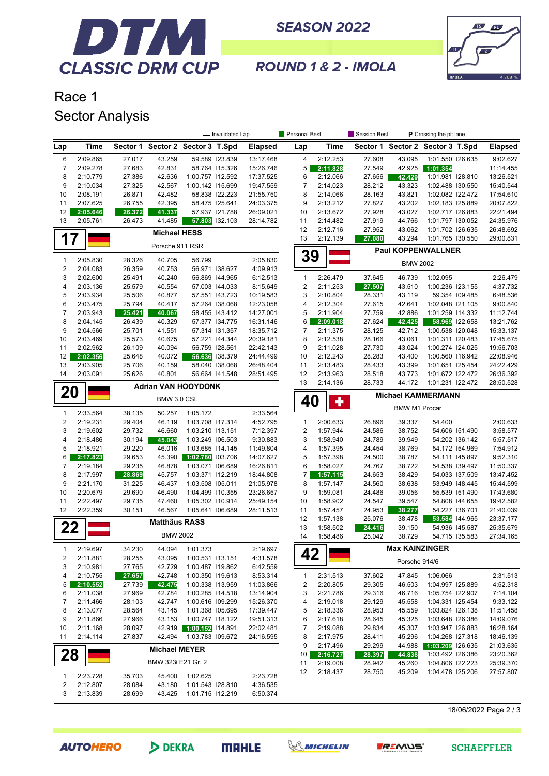

**SEASON 2022** 



ROUND 1 & 2 - IMOLA

## Race 1 Sector Analysis

|                                         |                      |                  | - Invalidated Lap                |                                      |                                  |                        | Personal Best<br>Session Best<br>P Crossing the pit lane |                      |                  |                       |                                      |                                  |                        |
|-----------------------------------------|----------------------|------------------|----------------------------------|--------------------------------------|----------------------------------|------------------------|----------------------------------------------------------|----------------------|------------------|-----------------------|--------------------------------------|----------------------------------|------------------------|
| Lap                                     | <b>Time</b>          |                  | Sector 1 Sector 2 Sector 3 T.Spd |                                      |                                  | <b>Elapsed</b>         | Lap                                                      | Time                 |                  |                       | Sector 1 Sector 2 Sector 3 T.Spd     |                                  | <b>Elapsed</b>         |
| 6                                       | 2:09.865             | 27.017           | 43.259                           |                                      | 59.589 123.839                   | 13:17.468              | 4                                                        | 2:12.253             | 27.608           | 43.095                | 1:01.550 126.635                     |                                  | 9:02.627               |
| 7                                       | 2:09.278             | 27.683           | 42.831                           |                                      | 58.764 115.326                   | 15:26.746              | 5                                                        | 2:11.828             | 27.549           | 42.925                | 1:01.354                             |                                  | 11:14.455              |
| 8                                       | 2:10.779             | 27.386           | 42.636                           | 1:00.757 112.592                     |                                  | 17:37.525              | 6                                                        | 2:12.066             | 27.656           | 42.429                | 1:01.981 128.810                     |                                  | 13:26.521              |
| 9<br>10                                 | 2:10.034<br>2:08.191 | 27.325<br>26.871 | 42.567<br>42.482                 | 1:00.142 115.699                     | 58.838 122.223                   | 19:47.559<br>21:55.750 | $\overline{7}$<br>8                                      | 2:14.023<br>2:14.066 | 28.212<br>28.163 | 43.323<br>43.821      | 1:02.488 130.550<br>1:02.082 122.472 |                                  | 15:40.544<br>17:54.610 |
| 11                                      | 2:07.625             | 26.755           | 42.395                           |                                      | 58.475 125.641                   | 24:03.375              | 9                                                        | 2:13.212             | 27.827           | 43.202                | 1:02.183 125.889                     |                                  | 20:07.822              |
| 12                                      | 2:05.646             | 26.372           | 41.337                           |                                      | 57.937 121.788                   | 26:09.021              | 10                                                       | 2:13.672             | 27.928           | 43.027                | 1:02.717 126.883                     |                                  | 22:21.494              |
| 13                                      | 2:05.761             | 26.473           | 41.485                           |                                      | 57.803 132.103                   | 28:14.782              | 11                                                       | 2:14.482             | 27.919           | 44.766                | 1:01.797 130.052                     |                                  | 24:35.976              |
|                                         |                      |                  | <b>Michael HESS</b>              |                                      |                                  |                        | 12                                                       | 2:12.716             | 27.952           | 43.062                | 1:01.702 126.635                     |                                  | 26:48.692              |
| 17                                      |                      |                  | Porsche 911 RSR                  |                                      |                                  |                        | 13                                                       | 2:12.139             | 27.080           | 43.294                | 1:01.765 130.550                     |                                  | 29:00.831              |
| $\mathbf{1}$                            | 2:05.830             | 28.326           | 40.705                           | 56.799                               |                                  | 2:05.830               | 39                                                       |                      |                  |                       | <b>Paul KOPPENWALLNER</b>            |                                  |                        |
| $\sqrt{2}$                              | 2:04.083             | 26.359           | 40.753                           |                                      | 56.971 138.627                   | 4:09.913               |                                                          |                      |                  | <b>BMW 2002</b>       |                                      |                                  |                        |
| 3                                       | 2:02.600             | 25.491           | 40.240                           |                                      | 56.869 144.965                   | 6:12.513               | 1                                                        | 2:26.479             | 37.645           | 46.739                | 1:02.095                             |                                  | 2:26.479               |
| 4                                       | 2:03.136             | 25.579           | 40.554                           |                                      | 57.003 144.033                   | 8:15.649               | 2                                                        | 2:11.253             | 27.507           | 43.510                | 1:00.236 123.155                     |                                  | 4:37.732               |
| 5                                       | 2:03.934             | 25.506           | 40.877                           |                                      | 57.551 143.723                   | 10:19.583              | 3                                                        | 2:10.804             | 28.331           | 43.119                |                                      | 59.354 109.485                   | 6:48.536               |
| 6                                       | 2:03.475             | 25.794           | 40.417                           |                                      | 57.264 138.068                   | 12:23.058              | 4                                                        | 2:12.304             | 27.615           | 42.641                | 1:02.048 121.105                     |                                  | 9:00.840               |
| 7<br>8                                  | 2:03.943<br>2:04.145 | 25.421<br>26.439 | 40.067<br>40.329                 |                                      | 58.455 143.412<br>57.377 134.775 | 14:27.001<br>16:31.146 | 5<br>6                                                   | 2:11.904<br>2:09.018 | 27.759<br>27.624 | 42.886<br>42.425      | 1:01.259 114.332<br>58.969 122.658   |                                  | 11:12.744<br>13:21.762 |
| 9                                       | 2:04.566             | 25.701           | 41.551                           |                                      | 57.314 131.357                   | 18:35.712              | 7                                                        | 2:11.375             | 28.125           | 42.712                | 1:00.538 120.048                     |                                  | 15:33.137              |
| 10                                      | 2:03.469             | 25.573           | 40.675                           |                                      | 57.221 144.344                   | 20:39.181              | 8                                                        | 2:12.538             | 28.166           | 43.061                | 1:01.311 120.483                     |                                  | 17:45.675              |
| 11                                      | 2:02.962             | 26.109           | 40.094                           |                                      | 56.759 128.561                   | 22:42.143              | 9                                                        | 2:11.028             | 27.730           | 43.024                | 1:00.274 124.025                     |                                  | 19:56.703              |
| 12                                      | 2:02.356             | 25.648           | 40.072                           |                                      | 56.636 138.379                   | 24:44.499              | 10                                                       | 2:12.243             | 28.283           | 43.400                | 1:00.560 116.942                     |                                  | 22:08.946              |
| 13                                      | 2:03.905             | 25.706           | 40.159                           |                                      | 58.040 138.068                   | 26:48.404              | 11                                                       | 2:13.483             | 28.433           | 43.399                | 1:01.651 125.454                     |                                  | 24:22.429              |
| 14                                      | 2:03.091             | 25.626           | 40.801                           |                                      | 56.664 141.548                   | 28:51.495              | 12                                                       | 2:13.963             | 28.518           | 43.773                | 1:01.672 122.472                     |                                  | 26:36.392              |
|                                         |                      |                  | <b>Adrian VAN HOOYDONK</b>       |                                      |                                  |                        | 13                                                       | 2:14.136             | 28.733           | 44.172                | 1:01.231 122.472                     |                                  | 28:50.528              |
| 20                                      |                      |                  | BMW 3.0 CSL                      |                                      |                                  |                        | 40                                                       | ╋                    |                  |                       | <b>Michael KAMMERMANN</b>            |                                  |                        |
| $\mathbf{1}$                            | 2:33.564             | 38.135           | 50.257                           | 1:05.172                             |                                  | 2:33.564               |                                                          |                      |                  | <b>BMW M1 Procar</b>  |                                      |                                  |                        |
| 2                                       | 2:19.231             | 29.404           | 46.119                           | 1:03.708 117.314                     |                                  | 4:52.795               | $\mathbf{1}$                                             | 2:00.633             | 26.896           | 39.337                | 54.400                               |                                  | 2:00.633               |
| 3                                       | 2:19.602             | 29.732           | 46.660                           | 1:03.210 113.151                     |                                  | 7:12.397               | 2                                                        | 1:57.944             | 24.586           | 38.752                |                                      | 54.606 151.490                   | 3:58.577               |
| 4                                       | 2:18.486             | 30.194           | 45.043                           | 1:03.249 106.503                     |                                  | 9:30.883               | 3                                                        | 1:58.940             | 24.789           | 39.949                |                                      | 54.202 136.142                   | 5:57.517               |
| 5                                       | 2:18.921             | 29.220           | 46.016                           | 1:03.685 114.145                     |                                  | 11:49.804              | 4                                                        | 1:57.395             | 24.454           | 38.769                |                                      | 54.172 154.969                   | 7:54.912               |
| 6<br>7                                  | 2:17.823             | 29.653           | 45.390                           | 1:02.780 103.706                     |                                  | 14:07.627              | 5                                                        | 1:57.398             | 24.500           | 38.787                |                                      | 54.111 145.897                   | 9:52.310               |
| 8                                       | 2:19.184<br>2:17.997 | 29.235<br>28.869 | 46.878<br>45.757                 | 1:03.071 106.689<br>1:03.371 112.219 |                                  | 16:26.811<br>18:44.808 | 6<br>7                                                   | 1:58.027<br>1:57.115 | 24.767<br>24.653 | 38.722<br>38.429      |                                      | 54.538 139.497<br>54.033 137.509 | 11:50.337<br>13:47.452 |
| 9                                       | 2:21.170             | 31.225           | 46.437                           | 1:03.508 105.011                     |                                  | 21:05.978              | 8                                                        | 1:57.147             | 24.560           | 38.638                |                                      | 53.949 148.445                   | 15:44.599              |
| 10                                      | 2:20.679             | 29.690           | 46.490                           | 1:04.499 110.355                     |                                  | 23:26.657              | 9                                                        | 1:59.081             | 24.486           | 39.056                |                                      | 55.539 151.490                   | 17:43.680              |
| 11                                      | 2:22.497             | 29.735           | 47.460                           | 1:05.302 110.914                     |                                  | 25:49.154              | 10                                                       | 1:58.902             | 24.547           | 39.547                |                                      | 54.808 144.655                   | 19:42.582              |
| 12                                      | 2:22.359             | 30.151           | 46.567                           | 1:05.641 106.689                     |                                  | 28:11.513              | 11                                                       | 1:57.457             | 24.953           | 38.277                |                                      | 54.227 136.701                   | 21:40.039              |
|                                         |                      |                  | <b>Matthäus RASS</b>             |                                      |                                  |                        | 12                                                       | 1:57.138             | 25.076           | 38.478                |                                      | 53.584 144.965                   | 23:37.177              |
| 22                                      |                      |                  |                                  |                                      |                                  |                        | 13                                                       | 1:58.502             | 24.416           | 39.150                |                                      | 54.936 145.587                   | 25:35.679              |
|                                         |                      |                  | <b>BMW 2002</b>                  |                                      |                                  |                        | 14                                                       | 1:58.486             | 25.042           | 38.729                |                                      | 54.715 135.583                   | 27:34.165              |
| 1                                       | 2:19.697             | 34.230           | 44.094                           | 1:01.373                             |                                  | 2:19.697               | 42                                                       |                      |                  | <b>Max KAINZINGER</b> |                                      |                                  |                        |
| 2                                       | 2:11.881             | 28.255           | 43.095                           | 1:00.531 113.151                     |                                  | 4:31.578               |                                                          |                      |                  | Porsche 914/6         |                                      |                                  |                        |
| 3<br>4                                  | 2:10.981<br>2:10.755 | 27.765<br>27.657 | 42.729<br>42.748                 | 1:00.487 119.862<br>1:00.350 119.613 |                                  | 6:42.559<br>8:53.314   | $\mathbf{1}$                                             | 2:31.513             | 37.602           | 47.845                | 1:06.066                             |                                  | 2:31.513               |
| 5                                       | 2:10.552             | 27.739           | 42.475                           | 1:00.338 113.959                     |                                  | 11:03.866              | 2                                                        | 2:20.805             | 29.305           | 46.503                | 1:04.997 125.889                     |                                  | 4:52.318               |
| 6                                       | 2:11.038             | 27.969           | 42.784                           | 1:00.285 114.518                     |                                  | 13:14.904              | 3                                                        | 2:21.786             | 29.316           | 46.716                | 1:05.754 122.907                     |                                  | 7:14.104               |
| 7                                       | 2:11.466             | 28.103           | 42.747                           | 1:00.616 109.299                     |                                  | 15:26.370              | 4                                                        | 2:19.018             | 29.129           | 45.558                | 1:04.331 125.454                     |                                  | 9:33.122               |
| 8                                       | 2:13.077             | 28.564           | 43.145                           | 1:01.368 105.695                     |                                  | 17:39.447              | 5                                                        | 2:18.336             | 28.953           | 45.559                | 1:03.824 126.138                     |                                  | 11:51.458              |
| 9                                       | 2:11.866             | 27.966           | 43.153                           | 1:00.747 118.122                     |                                  | 19:51.313              | 6                                                        | 2:17.618             | 28.645           | 45.325                | 1:03.648 126.386                     |                                  | 14:09.076              |
| 10                                      | 2:11.168             | 28.097           | 42.919                           | 1:00.152 114.891                     |                                  | 22:02.481              | 7                                                        | 2:19.088             | 29.834           | 45.307                | 1:03.947 126.883                     |                                  | 16:28.164              |
| 11                                      | 2:14.114             | 27.837           | 42.494                           | 1:03.783 109.672                     |                                  | 24:16.595              | 8                                                        | 2:17.975             | 28.411           | 45.296                | 1:04.268 127.318                     |                                  | 18:46.139              |
|                                         |                      |                  | <b>Michael MEYER</b>             |                                      |                                  |                        | 9<br>10                                                  | 2:17.496<br>2:16.727 | 29.299<br>28.397 | 44.988<br>44.838      | 1:03.209 26.635<br>1:03.492 126.386  |                                  | 21:03.635<br>23:20.362 |
| 28                                      |                      |                  | BMW 323i E21 Gr. 2               |                                      |                                  |                        | 11                                                       | 2:19.008             | 28.942           | 45.260                | 1:04.806 122.223                     |                                  | 25:39.370              |
|                                         |                      |                  |                                  |                                      |                                  |                        | 12                                                       | 2:18.437             | 28.750           | 45.209                | 1:04.478 125.206                     |                                  | 27:57.807              |
| $\mathbf{1}$<br>$\overline{\mathbf{c}}$ | 2:23.728             | 35.703           | 45.400                           | 1:02.625<br>1:01.543 128.810         |                                  | 2:23.728<br>4:36.535   |                                                          |                      |                  |                       |                                      |                                  |                        |
| 3                                       | 2:12.807<br>2:13.839 | 28.084<br>28.699 | 43.180<br>43.425                 | 1:01.715 112.219                     |                                  | 6:50.374               |                                                          |                      |                  |                       |                                      |                                  |                        |
|                                         |                      |                  |                                  |                                      |                                  |                        |                                                          |                      |                  |                       |                                      |                                  |                        |

18/06/2022 Page 2 / 3